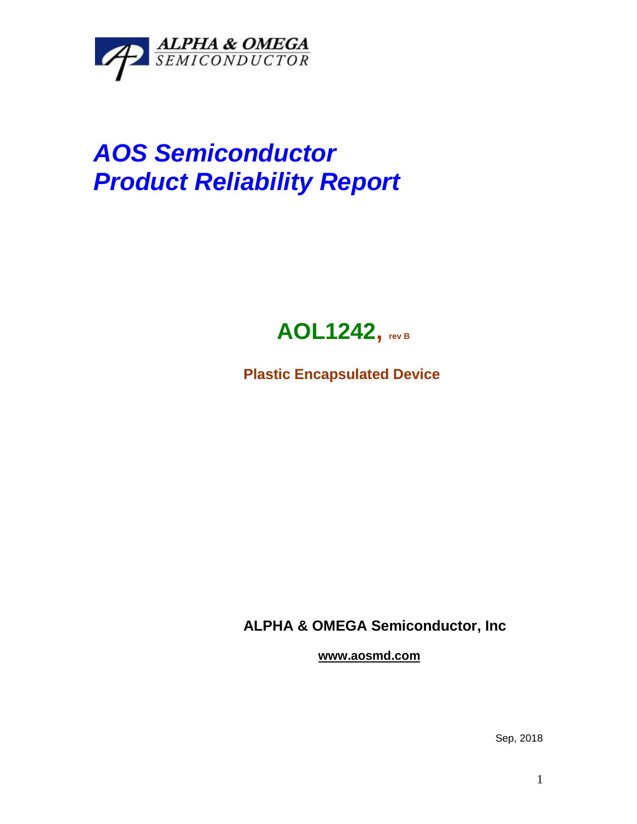

## *AOS Semiconductor Product Reliability Report*



**Plastic Encapsulated Device**

**ALPHA & OMEGA Semiconductor, Inc**

**www.aosmd.com**

Sep, 2018